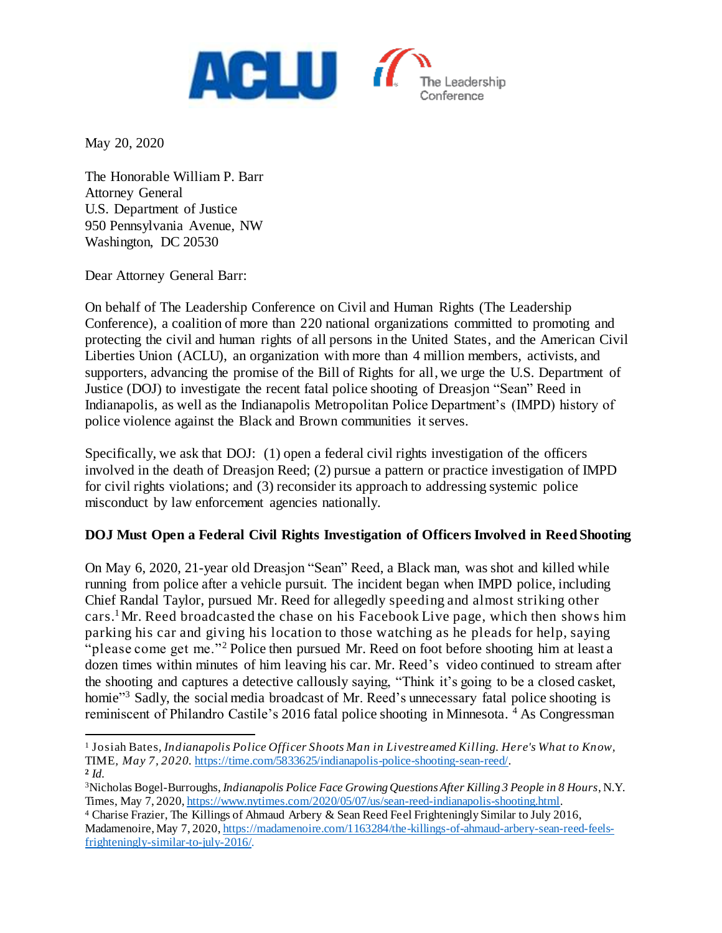

May 20, 2020

l

The Honorable William P. Barr Attorney General U.S. Department of Justice 950 Pennsylvania Avenue, NW Washington, DC 20530

Dear Attorney General Barr:

On behalf of The Leadership Conference on Civil and Human Rights (The Leadership Conference), a coalition of more than 220 national organizations committed to promoting and protecting the civil and human rights of all persons in the United States, and the American Civil Liberties Union (ACLU), an organization with more than 4 million members, activists, and supporters, advancing the promise of the Bill of Rights for all, we urge the U.S. Department of Justice (DOJ) to investigate the recent fatal police shooting of Dreasjon "Sean" Reed in Indianapolis, as well as the Indianapolis Metropolitan Police Department's (IMPD) history of police violence against the Black and Brown communities it serves.

Specifically, we ask that DOJ: (1) open a federal civil rights investigation of the officers involved in the death of Dreasjon Reed; (2) pursue a pattern or practice investigation of IMPD for civil rights violations; and (3) reconsider its approach to addressing systemic police misconduct by law enforcement agencies nationally.

## **DOJ Must Open a Federal Civil Rights Investigation of Officers Involved in Reed Shooting**

On May 6, 2020, 21-year old Dreasjon "Sean" Reed, a Black man, was shot and killed while running from police after a vehicle pursuit. The incident began when IMPD police, including Chief Randal Taylor, pursued Mr. Reed for allegedly speeding and almost striking other cars. <sup>1</sup>Mr. Reed broadcasted the chase on his Facebook Live page, which then shows him parking his car and giving his location to those watching as he pleads for help, saying "please come get me."<sup>2</sup> Police then pursued Mr. Reed on foot before shooting him at least a dozen times within minutes of him leaving his car. Mr. Reed's video continued to stream after the shooting and captures a detective callously saying, "Think it's going to be a closed casket, homie"<sup>3</sup> Sadly, the social media broadcast of Mr. Reed's unnecessary fatal police shooting is reminiscent of Philandro Castile's 2016 fatal police shooting in Minnesota. <sup>4</sup> As Congressman

<sup>1</sup> Josiah Bates*, Indianapolis Police Officer Shoots Man in Livestreamed Killing. Here's What to Know,*  TIME*, May 7, 2020.* <https://time.com/5833625/indianapolis-police-shooting-sean-reed/>. **2** *Id.* 

<sup>3</sup>Nicholas Bogel-Burroughs, *Indianapolis Police Face Growing Questions After Killing 3 People in 8 Hours*, N.Y. Times, May 7, 2020, <https://www.nytimes.com/2020/05/07/us/sean-reed-indianapolis-shooting.html>.

<sup>4</sup> Charise Frazier, The Killings of Ahmaud Arbery & Sean Reed Feel Frighteningly Similar to July 2016, Madamenoire, May 7, 2020[, https://madamenoire.com/1163284/the-killings-of-ahmaud-arbery-sean-reed-feels](https://madamenoire.com/1163284/the-killings-of-ahmaud-arbery-sean-reed-feels-frighteningly-similar-to-july-2016/)[frighteningly-similar-to-july-2016/.](https://madamenoire.com/1163284/the-killings-of-ahmaud-arbery-sean-reed-feels-frighteningly-similar-to-july-2016/)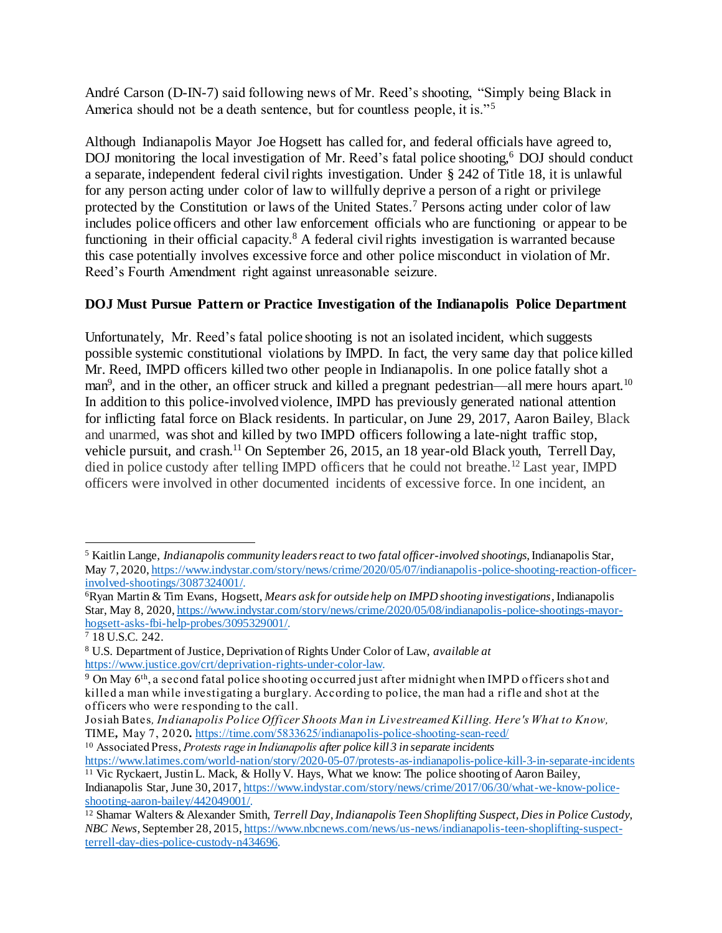André Carson (D-IN-7) said following news of Mr. Reed's shooting, "Simply being Black in America should not be a death sentence, but for countless people, it is."<sup>5</sup>

Although Indianapolis Mayor Joe Hogsett has called for, and federal officials have agreed to, DOJ monitoring the local investigation of Mr. Reed's fatal police shooting, <sup>6</sup> DOJ should conduct a separate, independent federal civil rights investigation. Under § 242 of Title 18, it is unlawful for any person acting under color of law to willfully deprive a person of a right or privilege protected by the Constitution or laws of the United States.<sup>7</sup> Persons acting under color of law includes police officers and other law enforcement officials who are functioning or appear to be functioning in their official capacity.<sup>8</sup> A federal civil rights investigation is warranted because this case potentially involves excessive force and other police misconduct in violation of Mr. Reed's Fourth Amendment right against unreasonable seizure.

## **DOJ Must Pursue Pattern or Practice Investigation of the Indianapolis Police Department**

Unfortunately, Mr. Reed's fatal police shooting is not an isolated incident, which suggests possible systemic constitutional violations by IMPD. In fact, the very same day that police killed Mr. Reed, IMPD officers killed two other people in Indianapolis. In one police fatally shot a man<sup>9</sup>, and in the other, an officer struck and killed a pregnant pedestrian—all mere hours apart.<sup>10</sup> In addition to this police-involved violence, IMPD has previously generated national attention for inflicting fatal force on Black residents. In particular, on June 29, 2017, Aaron Bailey, Black and unarmed, was shot and killed by two IMPD officers following a late-night traffic stop, vehicle pursuit, and crash.<sup>11</sup> On September 26, 2015, an 18 year-old Black youth, Terrell Day, died in police custody after telling IMPD officers that he could not breathe.<sup>12</sup> Last year, IMPD officers were involved in other documented incidents of excessive force. In one incident, an

l <sup>5</sup> Kaitlin Lange, *Indianapolis community leaders react to two fatal officer-involved shootings*, Indianapolis Star, May 7, 2020, [https://www.indystar.com/story/news/crime/2020/05/07/indianapolis-police-shooting-reaction-officer](https://www.indystar.com/story/news/crime/2020/05/07/indianapolis-police-shooting-reaction-officer-involved-shootings/3087324001/)[involved-shootings/3087324001/](https://www.indystar.com/story/news/crime/2020/05/07/indianapolis-police-shooting-reaction-officer-involved-shootings/3087324001/).

<sup>6</sup>Ryan Martin & Tim Evans, Hogsett, *Mears ask for outside help on IMPD shooting investigations*, Indianapolis Star, May 8, 2020, [https://www.indystar.com/story/news/crime/2020/05/08/indianapolis-police-shootings-mayor](https://www.indystar.com/story/news/crime/2020/05/08/indianapolis-police-shootings-mayor-hogsett-asks-fbi-help-probes/3095329001/)[hogsett-asks-fbi-help-probes/3095329001/.](https://www.indystar.com/story/news/crime/2020/05/08/indianapolis-police-shootings-mayor-hogsett-asks-fbi-help-probes/3095329001/)

<sup>7</sup> 18 U.S.C. 242.

<sup>8</sup> U.S. Department of Justice, Deprivation of Rights Under Color of Law, *available at* [https://www.justice.gov/crt/deprivation-rights-under-color-law.](https://www.justice.gov/crt/deprivation-rights-under-color-law)

<sup>&</sup>lt;sup>9</sup> On May 6<sup>th</sup>, a second fatal police shooting occurred just after midnight when IMPD officers shot and killed a man while investigating a burglary. According to police, the man had a rifle and shot at the officers who were responding to the call.

Josiah Bates*, Indianapolis Police Officer Shoots Man in Livestreamed Killing. Here's What to Know,*  TIME*,* May 7, 2020*.* <https://time.com/5833625/indianapolis-police-shooting-sean-reed/>

<sup>10</sup> Associated Press, *Protests rage in Indianapolis after police kill 3 in separate incidents*

<https://www.latimes.com/world-nation/story/2020-05-07/protests-as-indianapolis-police-kill-3-in-separate-incidents> <sup>11</sup> Vic Ryckaert, Justin L. Mack, & Holly V. Hays, What we know: The police shooting of Aaron Bailey,

Indianapolis Star, June 30, 2017[, https://www.indystar.com/story/news/crime/2017/06/30/what-we-know-police](https://www.indystar.com/story/news/crime/2017/06/30/what-we-know-police-shooting-aaron-bailey/442049001/)[shooting-aaron-bailey/442049001/.](https://www.indystar.com/story/news/crime/2017/06/30/what-we-know-police-shooting-aaron-bailey/442049001/)

<sup>12</sup> Shamar Walters & Alexander Smith, *Terrell Day, Indianapolis Teen Shoplifting Suspect, Dies in Police Custody, NBC News*, September 28, 2015[, https://www.nbcnews.com/news/us-news/indianapolis-teen-shoplifting-suspect](https://www.nbcnews.com/news/us-news/indianapolis-teen-shoplifting-suspect-terrell-day-dies-police-custody-n434696)[terrell-day-dies-police-custody-n434696.](https://www.nbcnews.com/news/us-news/indianapolis-teen-shoplifting-suspect-terrell-day-dies-police-custody-n434696)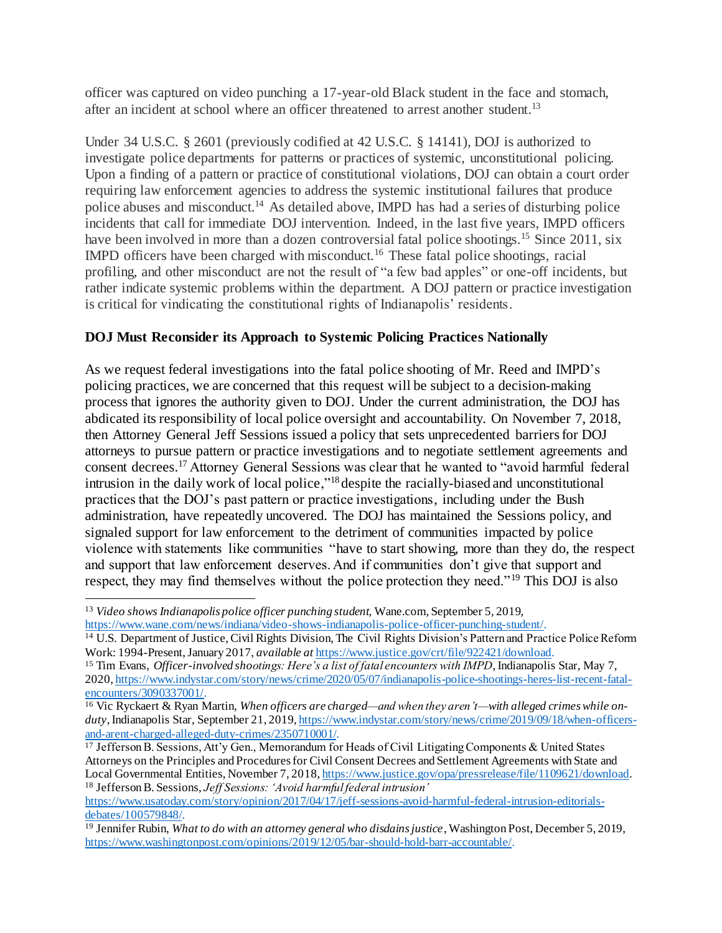officer was captured on video punching a 17-year-old Black student in the face and stomach, after an incident at school where an officer threatened to arrest another student.<sup>13</sup>

Under 34 U.S.C. § 2601 (previously codified at 42 U.S.C. § 14141), DOJ is authorized to investigate police departments for patterns or practices of systemic, unconstitutional policing. Upon a finding of a pattern or practice of constitutional violations, DOJ can obtain a court order requiring law enforcement agencies to address the systemic institutional failures that produce police abuses and misconduct.<sup>14</sup> As detailed above, IMPD has had a series of disturbing police incidents that call for immediate DOJ intervention. Indeed, in the last five years, IMPD officers have been involved in more than a dozen controversial fatal police shootings.<sup>15</sup> Since 2011, six IMPD officers have been charged with misconduct.<sup>16</sup> These fatal police shootings, racial profiling, and other misconduct are not the result of "a few bad apples" or one-off incidents, but rather indicate systemic problems within the department. A DOJ pattern or practice investigation is critical for vindicating the constitutional rights of Indianapolis' residents.

## **DOJ Must Reconsider its Approach to Systemic Policing Practices Nationally**

As we request federal investigations into the fatal police shooting of Mr. Reed and IMPD's policing practices, we are concerned that this request will be subject to a decision-making process that ignores the authority given to DOJ. Under the current administration, the DOJ has abdicated its responsibility of local police oversight and accountability. On November 7, 2018, then Attorney General Jeff Sessions issued a policy that sets unprecedented barriers for DOJ attorneys to pursue pattern or practice investigations and to negotiate settlement agreements and consent decrees.<sup>17</sup> Attorney General Sessions was clear that he wanted to "avoid harmful federal intrusion in the daily work of local police,"<sup>18</sup> despite the racially-biased and unconstitutional practices that the DOJ's past pattern or practice investigations, including under the Bush administration, have repeatedly uncovered. The DOJ has maintained the Sessions policy, and signaled support for law enforcement to the detriment of communities impacted by police violence with statements like communities "have to start showing, more than they do, the respect and support that law enforcement deserves. And if communities don't give that support and respect, they may find themselves without the police protection they need."<sup>19</sup> This DOJ is also

 $\overline{a}$ 

<sup>13</sup> *Video shows Indianapolis police officer punching student,* Wane.com, September 5, 2019, <https://www.wane.com/news/indiana/video-shows-indianapolis-police-officer-punching-student/>.

<sup>14</sup> U.S. Department of Justice, Civil Rights Division, The Civil Rights Division's Pattern and Practice Police Reform Work: 1994-Present, January 2017, *available at* [https://www.justice.gov/crt/file/922421/download.](https://www.justice.gov/crt/file/922421/download)

<sup>15</sup> Tim Evans, *Officer-involved shootings: Here's a list of fatal encounters with IMPD*, Indianapolis Star, May 7, 2020, [https://www.indystar.com/story/news/crime/2020/05/07/indianapolis-police-shootings-heres-list-recent-fatal](https://www.indystar.com/story/news/crime/2020/05/07/indianapolis-police-shootings-heres-list-recent-fatal-encounters/3090337001/)[encounters/3090337001/.](https://www.indystar.com/story/news/crime/2020/05/07/indianapolis-police-shootings-heres-list-recent-fatal-encounters/3090337001/)

<sup>16</sup> Vic Ryckaert & Ryan Martin, *When officers are charged—and when they aren't—with alleged crimes while onduty*, Indianapolis Star, September 21, 2019, [https://www.indystar.com/story/news/crime/2019/09/18/when-officers](https://www.indystar.com/story/news/crime/2019/09/18/when-officers-and-arent-charged-alleged-duty-crimes/2350710001/)[and-arent-charged-alleged-duty-crimes/2350710001/.](https://www.indystar.com/story/news/crime/2019/09/18/when-officers-and-arent-charged-alleged-duty-crimes/2350710001/)

<sup>17</sup> Jefferson B. Sessions, Att'y Gen., Memorandum for Heads of Civil Litigating Components & United States Attorneys on the Principles and Procedures for Civil Consent Decrees and Settlement Agreements with State and Local Governmental Entities, November 7, 2018[, https://www.justice.gov/opa/pressrelease/file/1109621/download.](https://www.justice.gov/opa/pressrelease/file/1109621/download) <sup>18</sup> Jefferson B. Sessions, *Jeff Sessions: 'Avoid harmful federal intrusion'*

[https://www.usatoday.com/story/opinion/2017/04/17/jeff-sessions-avoid-harmful-federal-intrusion-editorials](https://www.usatoday.com/story/opinion/2017/04/17/jeff-sessions-avoid-harmful-federal-intrusion-editorials-debates/100579848/)[debates/100579848/.](https://www.usatoday.com/story/opinion/2017/04/17/jeff-sessions-avoid-harmful-federal-intrusion-editorials-debates/100579848/)

<sup>19</sup> Jennifer Rubin, *What to do with an attorney general who disdains justice*, Washington Post, December 5, 2019, <https://www.washingtonpost.com/opinions/2019/12/05/bar-should-hold-barr-accountable/>.